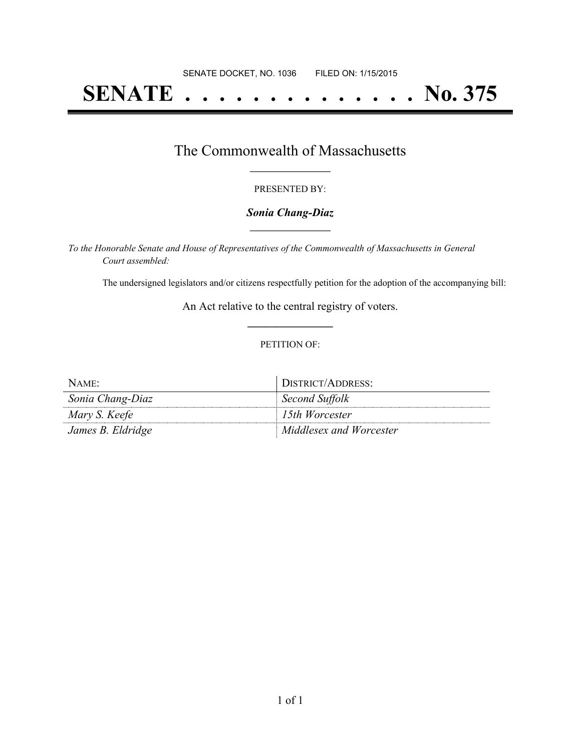# **SENATE . . . . . . . . . . . . . . No. 375**

## The Commonwealth of Massachusetts **\_\_\_\_\_\_\_\_\_\_\_\_\_\_\_\_\_**

#### PRESENTED BY:

#### *Sonia Chang-Diaz* **\_\_\_\_\_\_\_\_\_\_\_\_\_\_\_\_\_**

*To the Honorable Senate and House of Representatives of the Commonwealth of Massachusetts in General Court assembled:*

The undersigned legislators and/or citizens respectfully petition for the adoption of the accompanying bill:

An Act relative to the central registry of voters. **\_\_\_\_\_\_\_\_\_\_\_\_\_\_\_**

#### PETITION OF:

| NAME:             | DISTRICT/ADDRESS:       |
|-------------------|-------------------------|
| Sonia Chang-Diaz  | Second Suffolk          |
| Mary S. Keefe     | 15th Worcester          |
| James B. Eldridge | Middlesex and Worcester |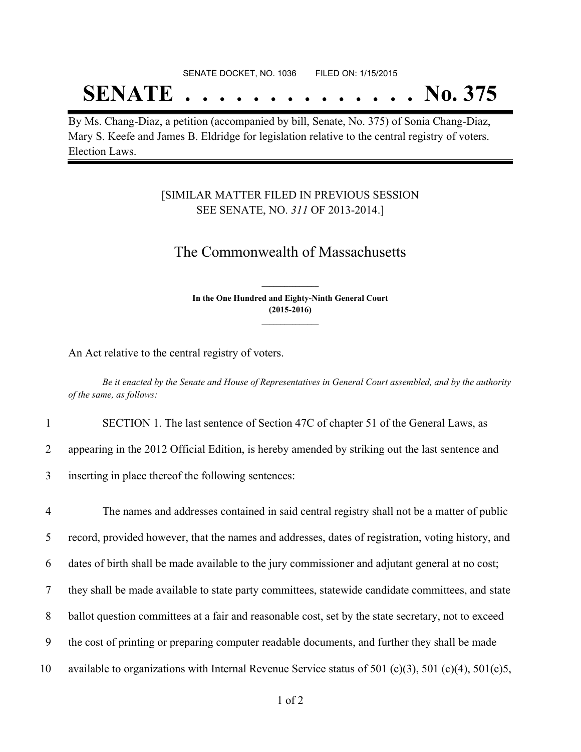## SENATE DOCKET, NO. 1036 FILED ON: 1/15/2015

## **SENATE . . . . . . . . . . . . . . No. 375**

By Ms. Chang-Diaz, a petition (accompanied by bill, Senate, No. 375) of Sonia Chang-Diaz, Mary S. Keefe and James B. Eldridge for legislation relative to the central registry of voters. Election Laws.

### [SIMILAR MATTER FILED IN PREVIOUS SESSION SEE SENATE, NO. *311* OF 2013-2014.]

## The Commonwealth of Massachusetts

**In the One Hundred and Eighty-Ninth General Court (2015-2016) \_\_\_\_\_\_\_\_\_\_\_\_\_\_\_**

**\_\_\_\_\_\_\_\_\_\_\_\_\_\_\_**

An Act relative to the central registry of voters.

Be it enacted by the Senate and House of Representatives in General Court assembled, and by the authority *of the same, as follows:*

1 SECTION 1. The last sentence of Section 47C of chapter 51 of the General Laws, as

2 appearing in the 2012 Official Edition, is hereby amended by striking out the last sentence and

3 inserting in place thereof the following sentences:

 The names and addresses contained in said central registry shall not be a matter of public record, provided however, that the names and addresses, dates of registration, voting history, and dates of birth shall be made available to the jury commissioner and adjutant general at no cost; they shall be made available to state party committees, statewide candidate committees, and state ballot question committees at a fair and reasonable cost, set by the state secretary, not to exceed the cost of printing or preparing computer readable documents, and further they shall be made available to organizations with Internal Revenue Service status of 501 (c)(3), 501 (c)(4), 501(c)5,